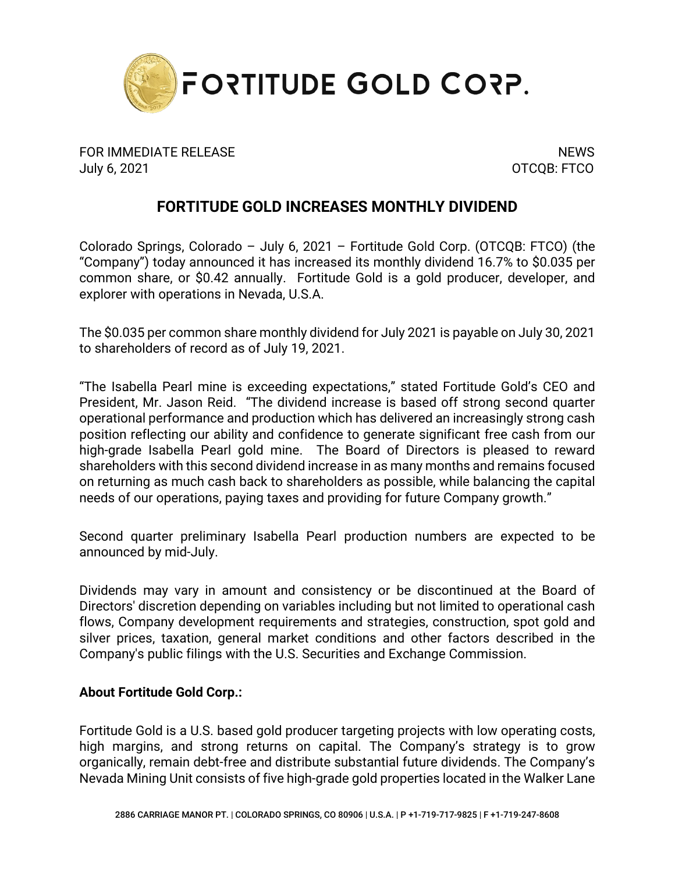

FOR IMMEDIATE RELEASE NEWS AND THE SERVICE OF STREET AND THE SERVICE OF STREET AND THE SERVICE OF STREET AND T July 6, 2021 OTCQB: FTCO

## **FORTITUDE GOLD INCREASES MONTHLY DIVIDEND**

Colorado Springs, Colorado – July 6, 2021 – Fortitude Gold Corp. (OTCQB: FTCO) (the "Company") today announced it has increased its monthly dividend 16.7% to \$0.035 per common share, or \$0.42 annually. Fortitude Gold is a gold producer, developer, and explorer with operations in Nevada, U.S.A.

The \$0.035 per common share monthly dividend for July 2021 is payable on July 30, 2021 to shareholders of record as of July 19, 2021.

"The Isabella Pearl mine is exceeding expectations," stated Fortitude Gold's CEO and President, Mr. Jason Reid. "The dividend increase is based off strong second quarter operational performance and production which has delivered an increasingly strong cash position reflecting our ability and confidence to generate significant free cash from our high-grade Isabella Pearl gold mine. The Board of Directors is pleased to reward shareholders with this second dividend increase in as many months and remains focused on returning as much cash back to shareholders as possible, while balancing the capital needs of our operations, paying taxes and providing for future Company growth."

Second quarter preliminary Isabella Pearl production numbers are expected to be announced by mid-July.

Dividends may vary in amount and consistency or be discontinued at the Board of Directors' discretion depending on variables including but not limited to operational cash flows, Company development requirements and strategies, construction, spot gold and silver prices, taxation, general market conditions and other factors described in the Company's public filings with the U.S. Securities and Exchange Commission.

## **About Fortitude Gold Corp.:**

Fortitude Gold is a U.S. based gold producer targeting projects with low operating costs, high margins, and strong returns on capital. The Company's strategy is to grow organically, remain debt-free and distribute substantial future dividends. The Company's Nevada Mining Unit consists of five high-grade gold properties located in the Walker Lane